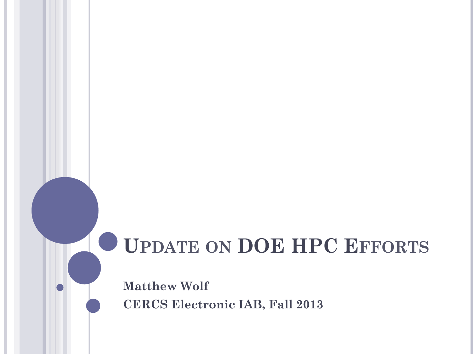# **UPDATE ON DOE HPC EFFORTS**

**Matthew Wolf CERCS Electronic IAB, Fall 2013**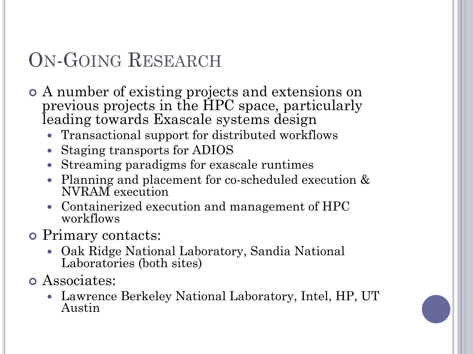# ON-GOING RESEARCH

- ¢ A number of existing projects and extensions on previous projects in the HPC space, particularly leading towards Exascale systems design
	- Transactional support for distributed workflows
	- Staging transports for ADIOS
	- Streaming paradigms for exascale runtimes
	- Planning and placement for co-scheduled execution & NVRAM execution
	- Containerized execution and management of HPC workflows
- ¢ Primary contacts:
	- Oak Ridge National Laboratory, Sandia National Laboratories (both sites)
- ¢ Associates:
	- Lawrence Berkeley National Laboratory, Intel, HP, UT Austin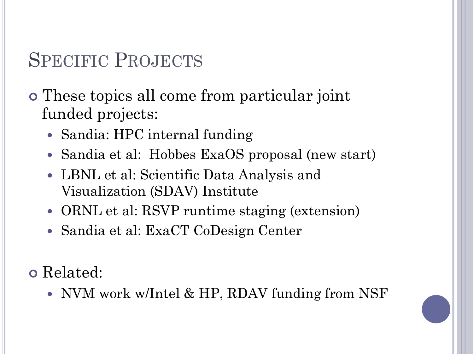## SPECIFIC PROJECTS

¢ These topics all come from particular joint funded projects:

- Sandia: HPC internal funding
- Sandia et al: Hobbes ExaOS proposal (new start)
- LBNL et al: Scientific Data Analysis and Visualization (SDAV) Institute
- ORNL et al: RSVP runtime staging (extension)
- Sandia et al: ExaCT CoDesign Center

¢ Related:

• NVM work w/Intel & HP, RDAV funding from NSF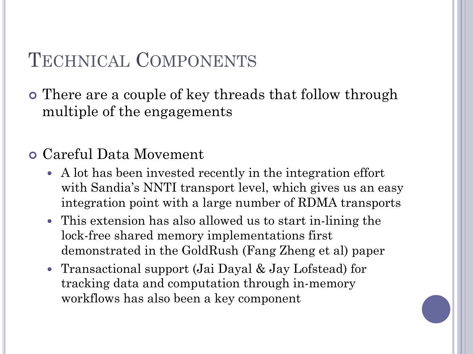### TECHNICAL COMPONENTS

¢ There are a couple of key threads that follow through multiple of the engagements

#### ¢ Careful Data Movement

- A lot has been invested recently in the integration effort with Sandia's NNTI transport level, which gives us an easy integration point with a large number of RDMA transports
- This extension has also allowed us to start in-lining the lock-free shared memory implementations first demonstrated in the GoldRush (Fang Zheng et al) paper
- Transactional support (Jai Dayal & Jay Lofstead) for tracking data and computation through in-memory workflows has also been a key component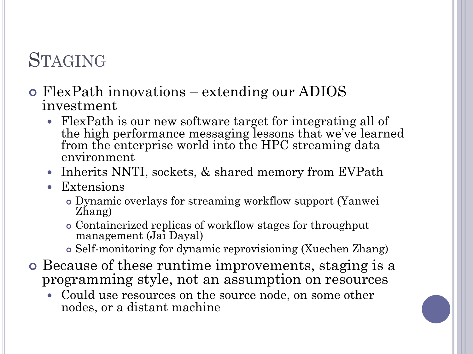## **STAGING**

- ¢ FlexPath innovations extending our ADIOS investment
	- FlexPath is our new software target for integrating all of the high performance messaging lessons that we've learned from the enterprise world into the HPC streaming data environment
	- Inherits NNTI, sockets, & shared memory from EVPath
	- Extensions
		- ¢ Dynamic overlays for streaming workflow support (Yanwei Zhang)
		- ¢ Containerized replicas of workflow stages for throughput management (Jai Dayal)
		- ¢ Self-monitoring for dynamic reprovisioning (Xuechen Zhang)
- ¢ Because of these runtime improvements, staging is a programming style, not an assumption on resources
	- Could use resources on the source node, on some other nodes, or a distant machine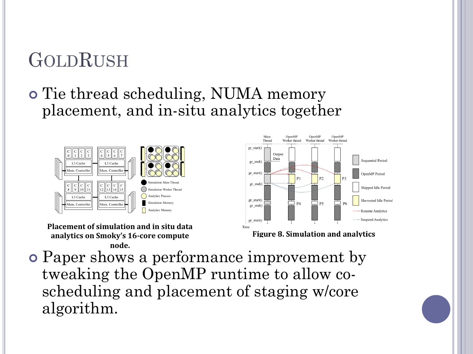# GOLDRUSH

#### ¢ Tie thread scheduling, NUMA memory placement, and in-situ analytics together



**Placement of simulation and in situ data** analytics on Smoky's 16-core compute **node.**



**Figure 8. Simulation and analytics** 

¢ Paper shows a performance improvement by tweaking the OpenMP runtime to allow coscheduling and placement of staging w/core algorithm.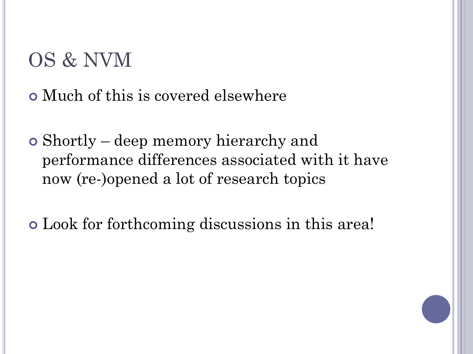## OS & NVM

¢ Much of this is covered elsewhere

¢ Shortly – deep memory hierarchy and performance differences associated with it have now (re-)opened a lot of research topics

¢ Look for forthcoming discussions in this area!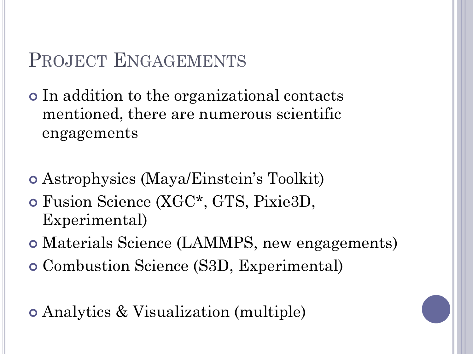### PROJECT ENGAGEMENTS

¢ In addition to the organizational contacts mentioned, there are numerous scientific engagements

- ¢ Astrophysics (Maya/Einstein's Toolkit)
- ¢ Fusion Science (XGC\*, GTS, Pixie3D, Experimental)
- ¢ Materials Science (LAMMPS, new engagements)
- ¢ Combustion Science (S3D, Experimental)

¢ Analytics & Visualization (multiple)